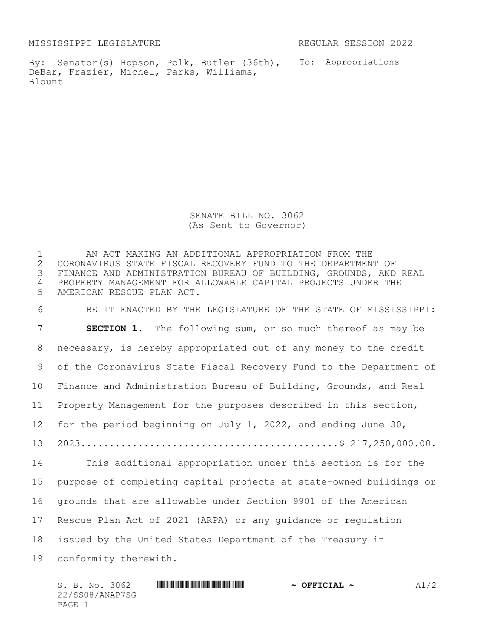MISSISSIPPI LEGISLATURE REGULAR SESSION 2022

By: Senator(s) Hopson, Polk, Butler (36th), To: Appropriations DeBar, Frazier, Michel, Parks, Williams, Blount

SENATE BILL NO. 3062 (As Sent to Governor)

 AN ACT MAKING AN ADDITIONAL APPROPRIATION FROM THE 2 CORONAVIRUS STATE FISCAL RECOVERY FUND TO THE DEPARTMENT OF<br>3 FINANCE AND ADMINISTRATION BUREAU OF BUILDING, GROUNDS, AND FINANCE AND ADMINISTRATION BUREAU OF BUILDING, GROUNDS, AND REAL PROPERTY MANAGEMENT FOR ALLOWABLE CAPITAL PROJECTS UNDER THE AMERICAN RESCUE PLAN ACT.

 BE IT ENACTED BY THE LEGISLATURE OF THE STATE OF MISSISSIPPI: **SECTION 1.** The following sum, or so much thereof as may be necessary, is hereby appropriated out of any money to the credit of the Coronavirus State Fiscal Recovery Fund to the Department of Finance and Administration Bureau of Building, Grounds, and Real Property Management for the purposes described in this section, for the period beginning on July 1, 2022, and ending June 30, 2023.............................................\$ 217,250,000.00. This additional appropriation under this section is for the purpose of completing capital projects at state-owned buildings or grounds that are allowable under Section 9901 of the American Rescue Plan Act of 2021 (ARPA) or any guidance or regulation issued by the United States Department of the Treasury in conformity therewith.

 $S. B. NO. 3062$  **\*Social analysis and the second formulation of**  $\sim$  **Official ~**  $A1/2$ 22/SS08/ANAP7SG PAGE 1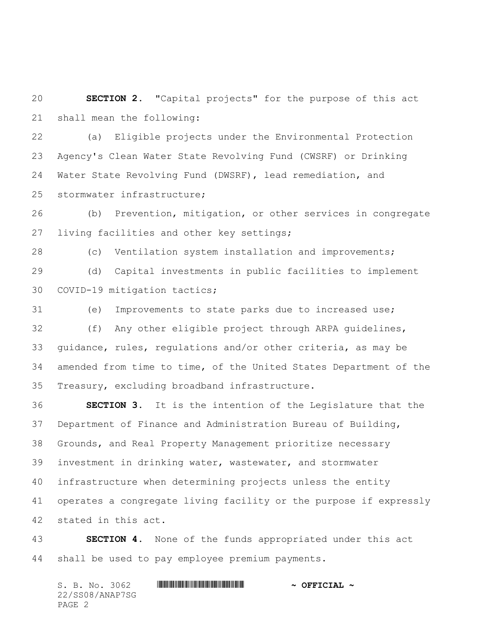**SECTION 2.** "Capital projects" for the purpose of this act shall mean the following:

 (a) Eligible projects under the Environmental Protection Agency's Clean Water State Revolving Fund (CWSRF) or Drinking Water State Revolving Fund (DWSRF), lead remediation, and stormwater infrastructure;

 (b) Prevention, mitigation, or other services in congregate living facilities and other key settings;

 (c) Ventilation system installation and improvements; (d) Capital investments in public facilities to implement COVID-19 mitigation tactics;

 (e) Improvements to state parks due to increased use; (f) Any other eligible project through ARPA guidelines, guidance, rules, regulations and/or other criteria, as may be amended from time to time, of the United States Department of the Treasury, excluding broadband infrastructure.

 **SECTION 3.** It is the intention of the Legislature that the Department of Finance and Administration Bureau of Building, Grounds, and Real Property Management prioritize necessary investment in drinking water, wastewater, and stormwater infrastructure when determining projects unless the entity operates a congregate living facility or the purpose if expressly stated in this act.

 **SECTION 4.** None of the funds appropriated under this act shall be used to pay employee premium payments.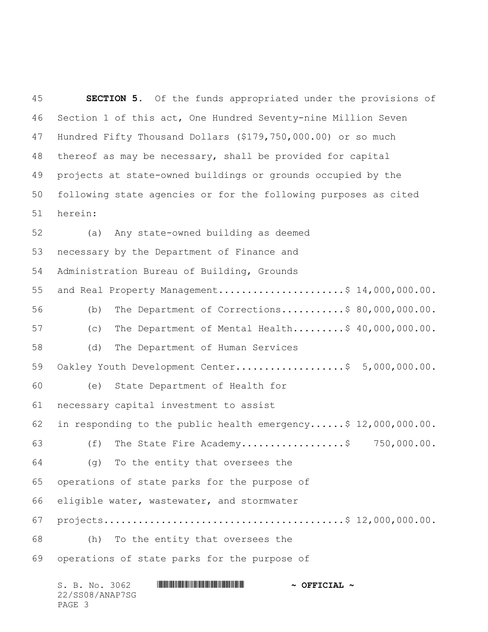**SECTION 5.** Of the funds appropriated under the provisions of Section 1 of this act, One Hundred Seventy-nine Million Seven Hundred Fifty Thousand Dollars (\$179,750,000.00) or so much thereof as may be necessary, shall be provided for capital projects at state-owned buildings or grounds occupied by the following state agencies or for the following purposes as cited herein: (a) Any state-owned building as deemed necessary by the Department of Finance and Administration Bureau of Building, Grounds 55 and Real Property Management..........................\$  $14,000,000.00$ . (b) The Department of Corrections...........\$ 80,000,000.00. (c) The Department of Mental Health.........\$ 40,000,000.00. (d) The Department of Human Services 59 Oakley Youth Development Center.....................\$ 5,000,000.00. (e) State Department of Health for necessary capital investment to assist in responding to the public health emergency......\$ 12,000,000.00. (f) The State Fire Academy..................\$ 750,000.00. (g) To the entity that oversees the operations of state parks for the purpose of eligible water, wastewater, and stormwater projects..........................................\$ 12,000,000.00. (h) To the entity that oversees the operations of state parks for the purpose of

| S. B. No. 3062  | $\sim$ OFFICIAL $\sim$ |  |
|-----------------|------------------------|--|
| 22/SS08/ANAP7SG |                        |  |
| PAGE 3          |                        |  |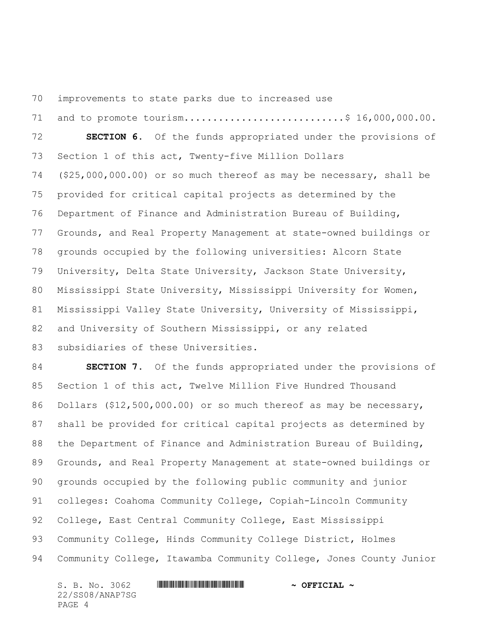improvements to state parks due to increased use

71 and to promote tourism...............................\$ 16,000,000.00. **SECTION 6.** Of the funds appropriated under the provisions of Section 1 of this act, Twenty-five Million Dollars (\$25,000,000.00) or so much thereof as may be necessary, shall be provided for critical capital projects as determined by the Department of Finance and Administration Bureau of Building, Grounds, and Real Property Management at state-owned buildings or grounds occupied by the following universities: Alcorn State University, Delta State University, Jackson State University, Mississippi State University, Mississippi University for Women, Mississippi Valley State University, University of Mississippi, and University of Southern Mississippi, or any related subsidiaries of these Universities.

 **SECTION 7.** Of the funds appropriated under the provisions of Section 1 of this act, Twelve Million Five Hundred Thousand 86 Dollars (\$12,500,000.00) or so much thereof as may be necessary, shall be provided for critical capital projects as determined by the Department of Finance and Administration Bureau of Building, Grounds, and Real Property Management at state-owned buildings or grounds occupied by the following public community and junior colleges: Coahoma Community College, Copiah-Lincoln Community College, East Central Community College, East Mississippi 93 Community College, Hinds Community College District, Holmes Community College, Itawamba Community College, Jones County Junior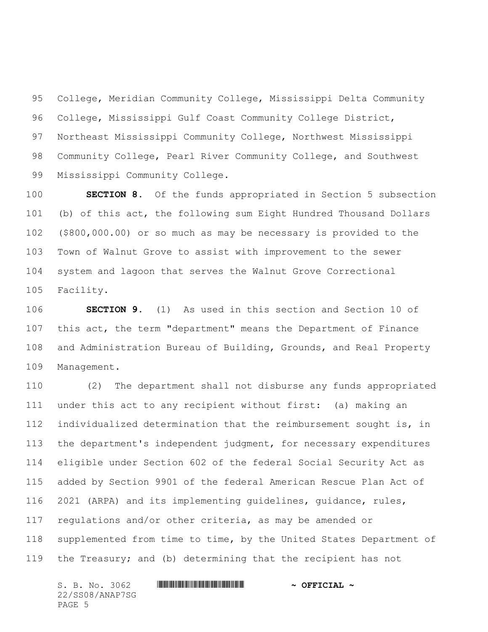College, Meridian Community College, Mississippi Delta Community College, Mississippi Gulf Coast Community College District, Northeast Mississippi Community College, Northwest Mississippi Community College, Pearl River Community College, and Southwest Mississippi Community College.

 **SECTION 8.** Of the funds appropriated in Section 5 subsection (b) of this act, the following sum Eight Hundred Thousand Dollars (\$800,000.00) or so much as may be necessary is provided to the Town of Walnut Grove to assist with improvement to the sewer system and lagoon that serves the Walnut Grove Correctional Facility.

 **SECTION 9.** (1) As used in this section and Section 10 of this act, the term "department" means the Department of Finance and Administration Bureau of Building, Grounds, and Real Property Management.

 (2) The department shall not disburse any funds appropriated under this act to any recipient without first: (a) making an individualized determination that the reimbursement sought is, in the department's independent judgment, for necessary expenditures eligible under Section 602 of the federal Social Security Act as added by Section 9901 of the federal American Rescue Plan Act of 2021 (ARPA) and its implementing guidelines, guidance, rules, regulations and/or other criteria, as may be amended or supplemented from time to time, by the United States Department of the Treasury; and (b) determining that the recipient has not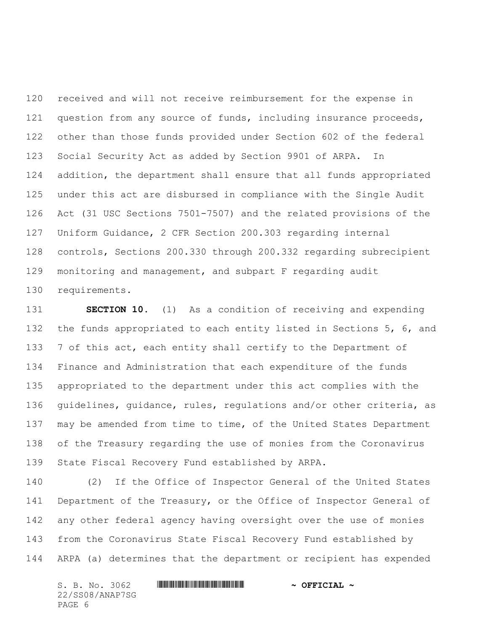received and will not receive reimbursement for the expense in 121 question from any source of funds, including insurance proceeds, other than those funds provided under Section 602 of the federal Social Security Act as added by Section 9901 of ARPA. In addition, the department shall ensure that all funds appropriated under this act are disbursed in compliance with the Single Audit Act (31 USC Sections 7501-7507) and the related provisions of the Uniform Guidance, 2 CFR Section 200.303 regarding internal controls, Sections 200.330 through 200.332 regarding subrecipient monitoring and management, and subpart F regarding audit requirements.

 **SECTION 10.** (1) As a condition of receiving and expending the funds appropriated to each entity listed in Sections 5, 6, and 133 7 of this act, each entity shall certify to the Department of Finance and Administration that each expenditure of the funds appropriated to the department under this act complies with the guidelines, guidance, rules, regulations and/or other criteria, as may be amended from time to time, of the United States Department of the Treasury regarding the use of monies from the Coronavirus State Fiscal Recovery Fund established by ARPA.

 (2) If the Office of Inspector General of the United States Department of the Treasury, or the Office of Inspector General of any other federal agency having oversight over the use of monies from the Coronavirus State Fiscal Recovery Fund established by ARPA (a) determines that the department or recipient has expended

S. B. No. 3062 \*SS08/ANAP7SG\* **~ OFFICIAL ~** 22/SS08/ANAP7SG PAGE 6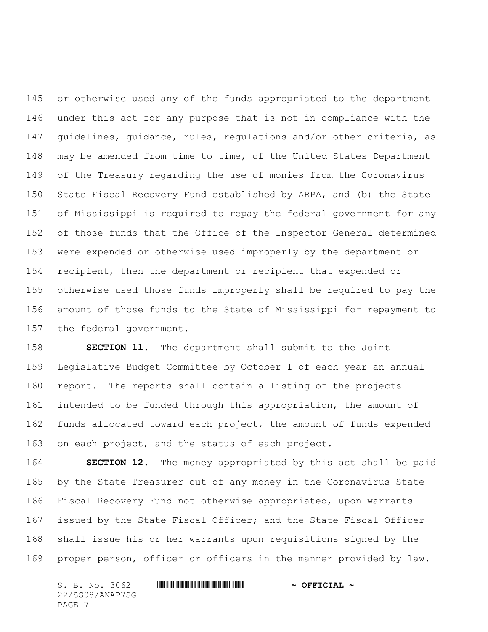or otherwise used any of the funds appropriated to the department under this act for any purpose that is not in compliance with the guidelines, guidance, rules, regulations and/or other criteria, as may be amended from time to time, of the United States Department of the Treasury regarding the use of monies from the Coronavirus State Fiscal Recovery Fund established by ARPA, and (b) the State of Mississippi is required to repay the federal government for any of those funds that the Office of the Inspector General determined were expended or otherwise used improperly by the department or recipient, then the department or recipient that expended or otherwise used those funds improperly shall be required to pay the amount of those funds to the State of Mississippi for repayment to the federal government.

 **SECTION 11.** The department shall submit to the Joint Legislative Budget Committee by October 1 of each year an annual report. The reports shall contain a listing of the projects intended to be funded through this appropriation, the amount of funds allocated toward each project, the amount of funds expended on each project, and the status of each project.

 **SECTION 12.** The money appropriated by this act shall be paid by the State Treasurer out of any money in the Coronavirus State Fiscal Recovery Fund not otherwise appropriated, upon warrants issued by the State Fiscal Officer; and the State Fiscal Officer shall issue his or her warrants upon requisitions signed by the proper person, officer or officers in the manner provided by law.